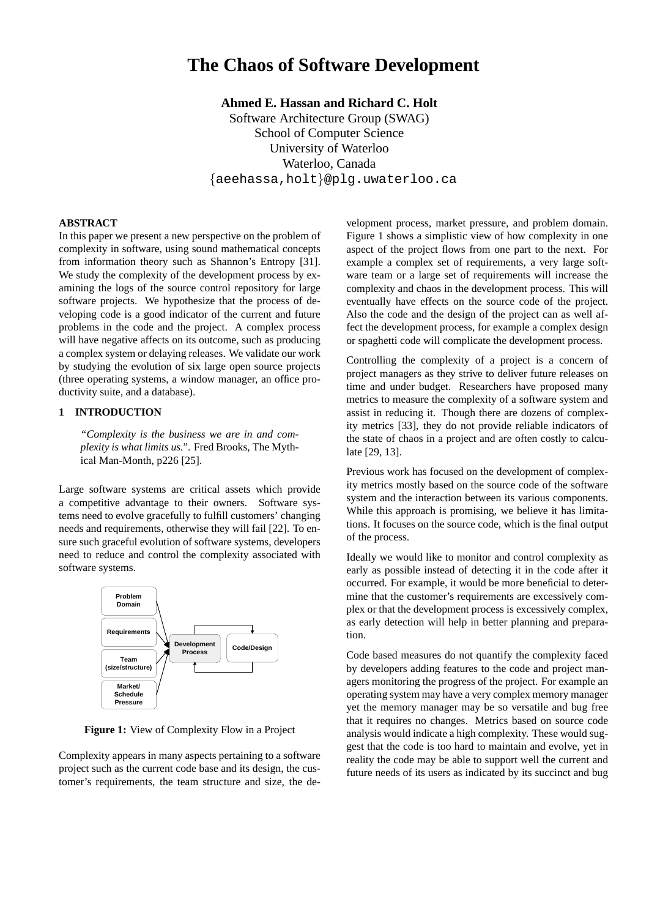# **The Chaos of Software Development**

**Ahmed E. Hassan and Richard C. Holt** Software Architecture Group (SWAG) School of Computer Science University of Waterloo Waterloo, Canada {aeehassa,holt}@plg.uwaterloo.ca

## **ABSTRACT**

In this paper we present a new perspective on the problem of complexity in software, using sound mathematical concepts from information theory such as Shannon's Entropy [31]. We study the complexity of the development process by examining the logs of the source control repository for large software projects. We hypothesize that the process of developing code is a good indicator of the current and future problems in the code and the project. A complex process will have negative affects on its outcome, such as producing a complex system or delaying releases. We validate our work by studying the evolution of six large open source projects (three operating systems, a window manager, an office productivity suite, and a database).

## **1 INTRODUCTION**

*"Complexity is the business we are in and complexity is what limits us."*. Fred Brooks, The Mythical Man-Month, p226 [25].

Large software systems are critical assets which provide a competitive advantage to their owners. Software systems need to evolve gracefully to fulfill customers' changing needs and requirements, otherwise they will fail [22]. To ensure such graceful evolution of software systems, developers need to reduce and control the complexity associated with software systems.



**Figure 1:** View of Complexity Flow in a Project

Complexity appears in many aspects pertaining to a software project such as the current code base and its design, the customer's requirements, the team structure and size, the development process, market pressure, and problem domain. Figure 1 shows a simplistic view of how complexity in one aspect of the project flows from one part to the next. For example a complex set of requirements, a very large software team or a large set of requirements will increase the complexity and chaos in the development process. This will eventually have effects on the source code of the project. Also the code and the design of the project can as well affect the development process, for example a complex design or spaghetti code will complicate the development process.

Controlling the complexity of a project is a concern of project managers as they strive to deliver future releases on time and under budget. Researchers have proposed many metrics to measure the complexity of a software system and assist in reducing it. Though there are dozens of complexity metrics [33], they do not provide reliable indicators of the state of chaos in a project and are often costly to calculate [29, 13].

Previous work has focused on the development of complexity metrics mostly based on the source code of the software system and the interaction between its various components. While this approach is promising, we believe it has limitations. It focuses on the source code, which is the final output of the process.

Ideally we would like to monitor and control complexity as early as possible instead of detecting it in the code after it occurred. For example, it would be more beneficial to determine that the customer's requirements are excessively complex or that the development process is excessively complex, as early detection will help in better planning and preparation.

Code based measures do not quantify the complexity faced by developers adding features to the code and project managers monitoring the progress of the project. For example an operating system may have a very complex memory manager yet the memory manager may be so versatile and bug free that it requires no changes. Metrics based on source code analysis would indicate a high complexity. These would suggest that the code is too hard to maintain and evolve, yet in reality the code may be able to support well the current and future needs of its users as indicated by its succinct and bug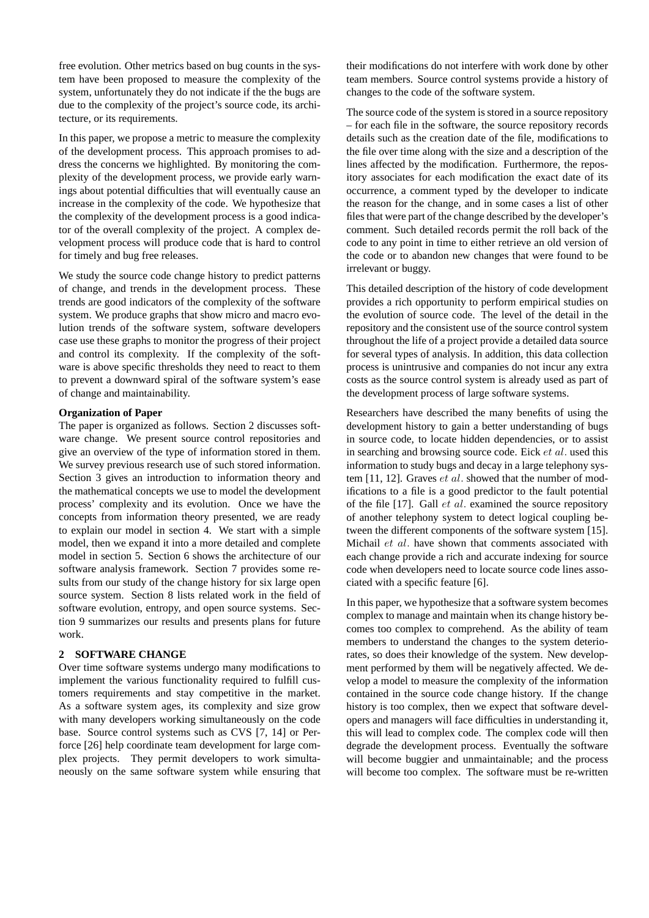free evolution. Other metrics based on bug counts in the system have been proposed to measure the complexity of the system, unfortunately they do not indicate if the the bugs are due to the complexity of the project's source code, its architecture, or its requirements.

In this paper, we propose a metric to measure the complexity of the development process. This approach promises to address the concerns we highlighted. By monitoring the complexity of the development process, we provide early warnings about potential difficulties that will eventually cause an increase in the complexity of the code. We hypothesize that the complexity of the development process is a good indicator of the overall complexity of the project. A complex development process will produce code that is hard to control for timely and bug free releases.

We study the source code change history to predict patterns of change, and trends in the development process. These trends are good indicators of the complexity of the software system. We produce graphs that show micro and macro evolution trends of the software system, software developers case use these graphs to monitor the progress of their project and control its complexity. If the complexity of the software is above specific thresholds they need to react to them to prevent a downward spiral of the software system's ease of change and maintainability.

# **Organization of Paper**

The paper is organized as follows. Section 2 discusses software change. We present source control repositories and give an overview of the type of information stored in them. We survey previous research use of such stored information. Section 3 gives an introduction to information theory and the mathematical concepts we use to model the development process' complexity and its evolution. Once we have the concepts from information theory presented, we are ready to explain our model in section 4. We start with a simple model, then we expand it into a more detailed and complete model in section 5. Section 6 shows the architecture of our software analysis framework. Section 7 provides some results from our study of the change history for six large open source system. Section 8 lists related work in the field of software evolution, entropy, and open source systems. Section 9 summarizes our results and presents plans for future work.

# **2 SOFTWARE CHANGE**

Over time software systems undergo many modifications to implement the various functionality required to fulfill customers requirements and stay competitive in the market. As a software system ages, its complexity and size grow with many developers working simultaneously on the code base. Source control systems such as CVS [7, 14] or Perforce [26] help coordinate team development for large complex projects. They permit developers to work simultaneously on the same software system while ensuring that their modifications do not interfere with work done by other team members. Source control systems provide a history of changes to the code of the software system.

The source code of the system is stored in a source repository – for each file in the software, the source repository records details such as the creation date of the file, modifications to the file over time along with the size and a description of the lines affected by the modification. Furthermore, the repository associates for each modification the exact date of its occurrence, a comment typed by the developer to indicate the reason for the change, and in some cases a list of other files that were part of the change described by the developer's comment. Such detailed records permit the roll back of the code to any point in time to either retrieve an old version of the code or to abandon new changes that were found to be irrelevant or buggy.

This detailed description of the history of code development provides a rich opportunity to perform empirical studies on the evolution of source code. The level of the detail in the repository and the consistent use of the source control system throughout the life of a project provide a detailed data source for several types of analysis. In addition, this data collection process is unintrusive and companies do not incur any extra costs as the source control system is already used as part of the development process of large software systems.

Researchers have described the many benefits of using the development history to gain a better understanding of bugs in source code, to locate hidden dependencies, or to assist in searching and browsing source code. Eick et al. used this information to study bugs and decay in a large telephony system [11, 12]. Graves et al. showed that the number of modifications to a file is a good predictor to the fault potential of the file [17]. Gall et al. examined the source repository of another telephony system to detect logical coupling between the different components of the software system [15]. Michail et al. have shown that comments associated with each change provide a rich and accurate indexing for source code when developers need to locate source code lines associated with a specific feature [6].

In this paper, we hypothesize that a software system becomes complex to manage and maintain when its change history becomes too complex to comprehend. As the ability of team members to understand the changes to the system deteriorates, so does their knowledge of the system. New development performed by them will be negatively affected. We develop a model to measure the complexity of the information contained in the source code change history. If the change history is too complex, then we expect that software developers and managers will face difficulties in understanding it, this will lead to complex code. The complex code will then degrade the development process. Eventually the software will become buggier and unmaintainable; and the process will become too complex. The software must be re-written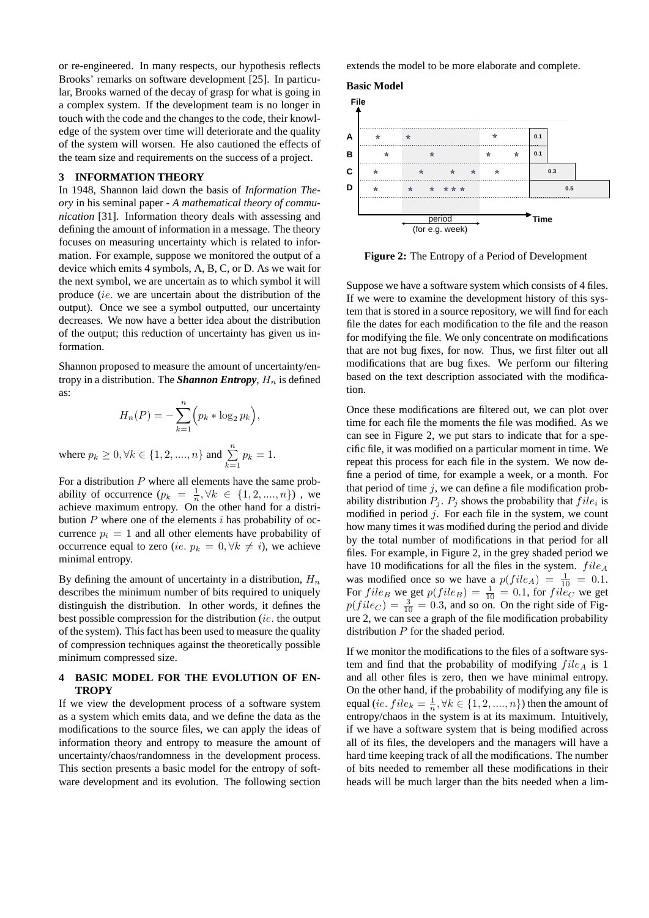or re-engineered. In many respects, our hypothesis reflects Brooks' remarks on software development [25]. In particular, Brooks warned of the decay of grasp for what is going in a complex system. If the development team is no longer in touch with the code and the changes to the code, their knowledge of the system over time will deteriorate and the quality of the system will worsen. He also cautioned the effects of the team size and requirements on the success of a project.

#### **3 INFORMATION THEORY**

In 1948, Shannon laid down the basis of *Information Theory* in his seminal paper - *A mathematical theory of communication* [31]. Information theory deals with assessing and defining the amount of information in a message. The theory focuses on measuring uncertainty which is related to information. For example, suppose we monitored the output of a device which emits 4 symbols, A, B, C, or D. As we wait for the next symbol, we are uncertain as to which symbol it will produce (ie. we are uncertain about the distribution of the output). Once we see a symbol outputted, our uncertainty decreases. We now have a better idea about the distribution of the output; this reduction of uncertainty has given us information.

Shannon proposed to measure the amount of uncertainty/entropy in a distribution. The **Shannon Entropy**,  $H_n$  is defined as:

$$
H_n(P) = -\sum_{k=1}^n \Bigl(p_k * \log_2 p_k\Bigr),
$$

where  $p_k \ge 0, \forall k \in \{1, 2, ..., n\}$  and  $\sum_{k=1}^{n} p_k = 1$ .

For a distribution  $P$  where all elements have the same probability of occurrence  $(p_k = \frac{1}{n}, \forall k \in \{1, 2, ..., n\})$ , we achieve maximum entropy. On the other hand for a distribution  $P$  where one of the elements  $i$  has probability of occurrence  $p_i = 1$  and all other elements have probability of occurrence equal to zero (ie.  $p_k = 0, \forall k \neq i$ ), we achieve minimal entropy.

By defining the amount of uncertainty in a distribution,  $H_n$ describes the minimum number of bits required to uniquely distinguish the distribution. In other words, it defines the best possible compression for the distribution (ie. the output of the system). This fact has been used to measure the quality of compression techniques against the theoretically possible minimum compressed size.

# **4 BASIC MODEL FOR THE EVOLUTION OF EN-TROPY**

If we view the development process of a software system as a system which emits data, and we define the data as the modifications to the source files, we can apply the ideas of information theory and entropy to measure the amount of uncertainty/chaos/randomness in the development process. This section presents a basic model for the entropy of software development and its evolution. The following section

extends the model to be more elaborate and complete.



**Figure 2:** The Entropy of a Period of Development

Suppose we have a software system which consists of 4 files. If we were to examine the development history of this system that is stored in a source repository, we will find for each file the dates for each modification to the file and the reason for modifying the file. We only concentrate on modifications that are not bug fixes, for now. Thus, we first filter out all modifications that are bug fixes. We perform our filtering based on the text description associated with the modification.

Once these modifications are filtered out, we can plot over time for each file the moments the file was modified. As we can see in Figure 2, we put stars to indicate that for a specific file, it was modified on a particular moment in time. We repeat this process for each file in the system. We now define a period of time, for example a week, or a month. For that period of time  $j$ , we can define a file modification probability distribution  $P_j$ .  $P_j$  shows the probability that  $file_i$  is modified in period  $j$ . For each file in the system, we count how many times it was modified during the period and divide by the total number of modifications in that period for all files. For example, in Figure 2, in the grey shaded period we have 10 modifications for all the files in the system.  $file_A$ was modified once so we have a  $p(file_A) = \frac{1}{10} = 0.1$ . For  $file_B$  we get  $p(file_B) = \frac{1}{10} = 0.1$ , for  $file_C$  we get  $p(file_C) = \frac{3}{10} = 0.3$ , and so on. On the right side of Figure 2, we can see a graph of the file modification probability distribution P for the shaded period.

If we monitor the modifications to the files of a software system and find that the probability of modifying  $file_A$  is 1 and all other files is zero, then we have minimal entropy. On the other hand, if the probability of modifying any file is equal (*ie.*  $file_k = \frac{1}{n}, \forall k \in \{1, 2, ..., n\}$ ) then the amount of entropy/chaos in the system is at its maximum. Intuitively, if we have a software system that is being modified across all of its files, the developers and the managers will have a hard time keeping track of all the modifications. The number of bits needed to remember all these modifications in their heads will be much larger than the bits needed when a lim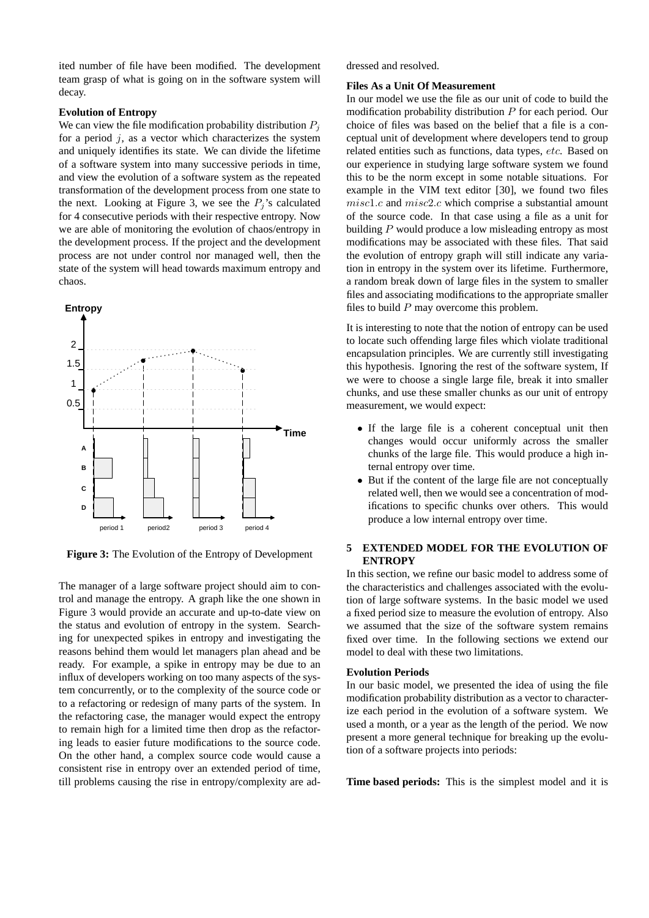ited number of file have been modified. The development team grasp of what is going on in the software system will decay.

#### **Evolution of Entropy**

We can view the file modification probability distribution  $P_i$ for a period  $j$ , as a vector which characterizes the system and uniquely identifies its state. We can divide the lifetime of a software system into many successive periods in time, and view the evolution of a software system as the repeated transformation of the development process from one state to the next. Looking at Figure 3, we see the  $P_i$ 's calculated for 4 consecutive periods with their respective entropy. Now we are able of monitoring the evolution of chaos/entropy in the development process. If the project and the development process are not under control nor managed well, then the state of the system will head towards maximum entropy and chaos.



**Figure 3:** The Evolution of the Entropy of Development

The manager of a large software project should aim to control and manage the entropy. A graph like the one shown in Figure 3 would provide an accurate and up-to-date view on the status and evolution of entropy in the system. Searching for unexpected spikes in entropy and investigating the reasons behind them would let managers plan ahead and be ready. For example, a spike in entropy may be due to an influx of developers working on too many aspects of the system concurrently, or to the complexity of the source code or to a refactoring or redesign of many parts of the system. In the refactoring case, the manager would expect the entropy to remain high for a limited time then drop as the refactoring leads to easier future modifications to the source code. On the other hand, a complex source code would cause a consistent rise in entropy over an extended period of time, till problems causing the rise in entropy/complexity are addressed and resolved.

## **Files As a Unit Of Measurement**

In our model we use the file as our unit of code to build the modification probability distribution P for each period. Our choice of files was based on the belief that a file is a conceptual unit of development where developers tend to group related entities such as functions, data types, etc. Based on our experience in studying large software system we found this to be the norm except in some notable situations. For example in the VIM text editor [30], we found two files misc1.c and misc2.c which comprise a substantial amount of the source code. In that case using a file as a unit for building P would produce a low misleading entropy as most modifications may be associated with these files. That said the evolution of entropy graph will still indicate any variation in entropy in the system over its lifetime. Furthermore, a random break down of large files in the system to smaller files and associating modifications to the appropriate smaller files to build  $P$  may overcome this problem.

It is interesting to note that the notion of entropy can be used to locate such offending large files which violate traditional encapsulation principles. We are currently still investigating this hypothesis. Ignoring the rest of the software system, If we were to choose a single large file, break it into smaller chunks, and use these smaller chunks as our unit of entropy measurement, we would expect:

- If the large file is a coherent conceptual unit then changes would occur uniformly across the smaller chunks of the large file. This would produce a high internal entropy over time.
- But if the content of the large file are not conceptually related well, then we would see a concentration of modifications to specific chunks over others. This would produce a low internal entropy over time.

## **5 EXTENDED MODEL FOR THE EVOLUTION OF ENTROPY**

In this section, we refine our basic model to address some of the characteristics and challenges associated with the evolution of large software systems. In the basic model we used a fixed period size to measure the evolution of entropy. Also we assumed that the size of the software system remains fixed over time. In the following sections we extend our model to deal with these two limitations.

## **Evolution Periods**

In our basic model, we presented the idea of using the file modification probability distribution as a vector to characterize each period in the evolution of a software system. We used a month, or a year as the length of the period. We now present a more general technique for breaking up the evolution of a software projects into periods:

**Time based periods:** This is the simplest model and it is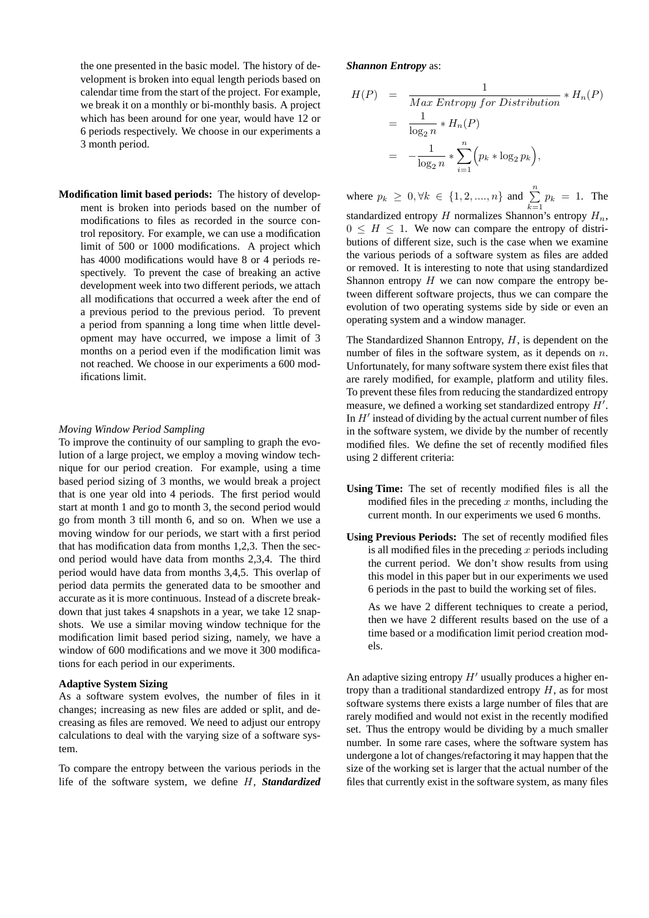the one presented in the basic model. The history of development is broken into equal length periods based on calendar time from the start of the project. For example, we break it on a monthly or bi-monthly basis. A project which has been around for one year, would have 12 or 6 periods respectively. We choose in our experiments a 3 month period.

**Modification limit based periods:** The history of development is broken into periods based on the number of modifications to files as recorded in the source control repository. For example, we can use a modification limit of 500 or 1000 modifications. A project which has 4000 modifications would have 8 or 4 periods respectively. To prevent the case of breaking an active development week into two different periods, we attach all modifications that occurred a week after the end of a previous period to the previous period. To prevent a period from spanning a long time when little development may have occurred, we impose a limit of 3 months on a period even if the modification limit was not reached. We choose in our experiments a 600 modifications limit.

#### *Moving Window Period Sampling*

To improve the continuity of our sampling to graph the evolution of a large project, we employ a moving window technique for our period creation. For example, using a time based period sizing of 3 months, we would break a project that is one year old into 4 periods. The first period would start at month 1 and go to month 3, the second period would go from month 3 till month 6, and so on. When we use a moving window for our periods, we start with a first period that has modification data from months 1,2,3. Then the second period would have data from months 2,3,4. The third period would have data from months 3,4,5. This overlap of period data permits the generated data to be smoother and accurate as it is more continuous. Instead of a discrete breakdown that just takes 4 snapshots in a year, we take 12 snapshots. We use a similar moving window technique for the modification limit based period sizing, namely, we have a window of 600 modifications and we move it 300 modifications for each period in our experiments.

#### **Adaptive System Sizing**

As a software system evolves, the number of files in it changes; increasing as new files are added or split, and decreasing as files are removed. We need to adjust our entropy calculations to deal with the varying size of a software system.

To compare the entropy between the various periods in the life of the software system, we define H, *Standardized*

#### *Shannon Entropy* as:

$$
H(P) = \frac{1}{Max \;Entropy \; for \; Distribution} * H_n(P)
$$
  
= 
$$
\frac{1}{\log_2 n} * H_n(P)
$$
  
= 
$$
-\frac{1}{\log_2 n} * \sum_{i=1}^n (p_k * \log_2 p_k),
$$

where  $p_k \ge 0, \forall k \in \{1, 2, ..., n\}$  and  $\sum_{k=1}^{n} p_k = 1$ . The standardized entropy H normalizes Shannon's entropy  $H_n$ ,  $0 \leq H \leq 1$ . We now can compare the entropy of distributions of different size, such is the case when we examine the various periods of a software system as files are added or removed. It is interesting to note that using standardized Shannon entropy  $H$  we can now compare the entropy between different software projects, thus we can compare the evolution of two operating systems side by side or even an operating system and a window manager.

The Standardized Shannon Entropy, H, is dependent on the number of files in the software system, as it depends on  $n$ . Unfortunately, for many software system there exist files that are rarely modified, for example, platform and utility files. To prevent these files from reducing the standardized entropy measure, we defined a working set standardized entropy  $H'$ . In  $H'$  instead of dividing by the actual current number of files in the software system, we divide by the number of recently modified files. We define the set of recently modified files using 2 different criteria:

- **Using Time:** The set of recently modified files is all the modified files in the preceding x months, including the current month. In our experiments we used 6 months.
- **Using Previous Periods:** The set of recently modified files is all modified files in the preceding  $x$  periods including the current period. We don't show results from using this model in this paper but in our experiments we used 6 periods in the past to build the working set of files.

As we have 2 different techniques to create a period, then we have 2 different results based on the use of a time based or a modification limit period creation models.

An adaptive sizing entropy  $H'$  usually produces a higher entropy than a traditional standardized entropy  $H$ , as for most software systems there exists a large number of files that are rarely modified and would not exist in the recently modified set. Thus the entropy would be dividing by a much smaller number. In some rare cases, where the software system has undergone a lot of changes/refactoring it may happen that the size of the working set is larger that the actual number of the files that currently exist in the software system, as many files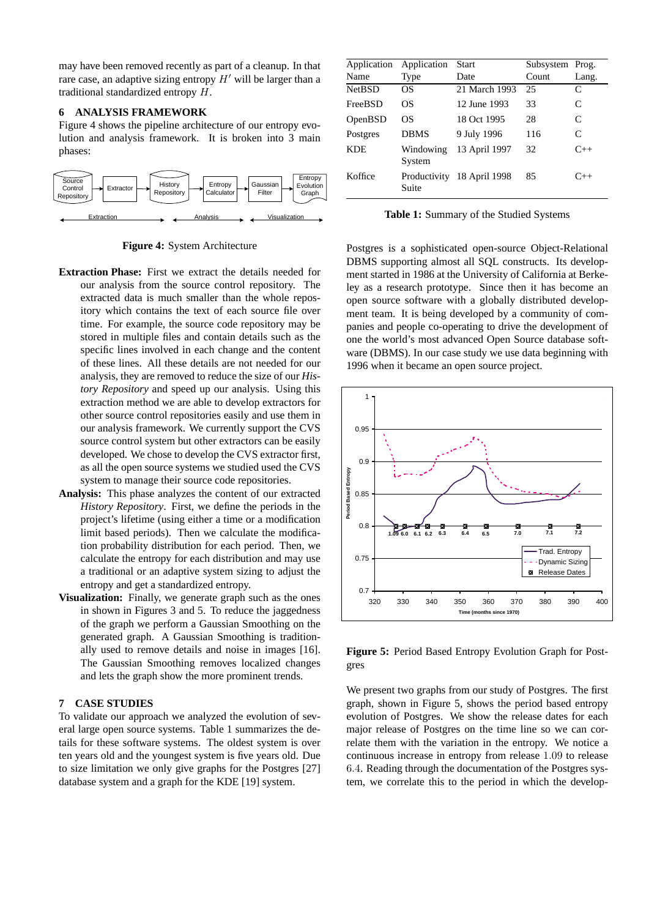may have been removed recently as part of a cleanup. In that rare case, an adaptive sizing entropy  $H'$  will be larger than a traditional standardized entropy H.

## **6 ANALYSIS FRAMEWORK**

Figure 4 shows the pipeline architecture of our entropy evolution and analysis framework. It is broken into 3 main phases:



**Figure 4:** System Architecture

- **Extraction Phase:** First we extract the details needed for our analysis from the source control repository. The extracted data is much smaller than the whole repository which contains the text of each source file over time. For example, the source code repository may be stored in multiple files and contain details such as the specific lines involved in each change and the content of these lines. All these details are not needed for our analysis, they are removed to reduce the size of our *History Repository* and speed up our analysis. Using this extraction method we are able to develop extractors for other source control repositories easily and use them in our analysis framework. We currently support the CVS source control system but other extractors can be easily developed. We chose to develop the CVS extractor first, as all the open source systems we studied used the CVS system to manage their source code repositories.
- **Analysis:** This phase analyzes the content of our extracted *History Repository*. First, we define the periods in the project's lifetime (using either a time or a modification limit based periods). Then we calculate the modification probability distribution for each period. Then, we calculate the entropy for each distribution and may use a traditional or an adaptive system sizing to adjust the entropy and get a standardized entropy.
- **Visualization:** Finally, we generate graph such as the ones in shown in Figures 3 and 5. To reduce the jaggedness of the graph we perform a Gaussian Smoothing on the generated graph. A Gaussian Smoothing is traditionally used to remove details and noise in images [16]. The Gaussian Smoothing removes localized changes and lets the graph show the more prominent trends.

#### **7 CASE STUDIES**

To validate our approach we analyzed the evolution of several large open source systems. Table 1 summarizes the details for these software systems. The oldest system is over ten years old and the youngest system is five years old. Due to size limitation we only give graphs for the Postgres [27] database system and a graph for the KDE [19] system.

| Application   | Application         | <b>Start</b>               | Subsystem Prog. |          |
|---------------|---------------------|----------------------------|-----------------|----------|
| Name          | Type                | Date                       | Count           | Lang.    |
| <b>NetBSD</b> | OS                  | 21 March 1993              | 25              | C        |
| FreeBSD       | OS                  | 12 June 1993               | 33              | C        |
| OpenBSD       | OS                  | 18 Oct 1995                | 28              | C        |
| Postgres      | <b>DBMS</b>         | 9 July 1996                | 116             | C        |
| <b>KDE</b>    | Windowing<br>System | 13 April 1997              | 32              | $C_{++}$ |
| Koffice       | Suite               | Productivity 18 April 1998 | 85              | $C_{++}$ |

**Table 1:** Summary of the Studied Systems

Postgres is a sophisticated open-source Object-Relational DBMS supporting almost all SQL constructs. Its development started in 1986 at the University of California at Berkeley as a research prototype. Since then it has become an open source software with a globally distributed development team. It is being developed by a community of companies and people co-operating to drive the development of one the world's most advanced Open Source database software (DBMS). In our case study we use data beginning with 1996 when it became an open source project.



**Figure 5:** Period Based Entropy Evolution Graph for Postgres

We present two graphs from our study of Postgres. The first graph, shown in Figure 5, shows the period based entropy evolution of Postgres. We show the release dates for each major release of Postgres on the time line so we can correlate them with the variation in the entropy. We notice a continuous increase in entropy from release 1.09 to release 6.4. Reading through the documentation of the Postgres system, we correlate this to the period in which the develop-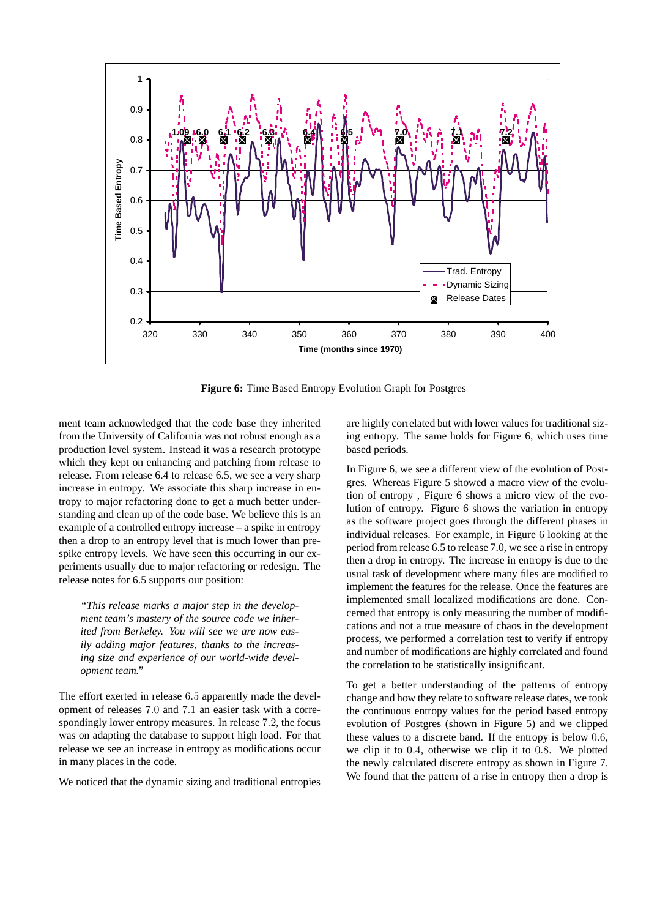

**Figure 6:** Time Based Entropy Evolution Graph for Postgres

ment team acknowledged that the code base they inherited from the University of California was not robust enough as a production level system. Instead it was a research prototype which they kept on enhancing and patching from release to release. From release 6.4 to release 6.5, we see a very sharp increase in entropy. We associate this sharp increase in entropy to major refactoring done to get a much better understanding and clean up of the code base. We believe this is an example of a controlled entropy increase – a spike in entropy then a drop to an entropy level that is much lower than prespike entropy levels. We have seen this occurring in our experiments usually due to major refactoring or redesign. The release notes for 6.5 supports our position:

*"This release marks a major step in the development team's mastery of the source code we inherited from Berkeley. You will see we are now easily adding major features, thanks to the increasing size and experience of our world-wide development team."*

The effort exerted in release 6.5 apparently made the development of releases 7.0 and 7.1 an easier task with a correspondingly lower entropy measures. In release 7.2, the focus was on adapting the database to support high load. For that release we see an increase in entropy as modifications occur in many places in the code.

We noticed that the dynamic sizing and traditional entropies

are highly correlated but with lower values for traditional sizing entropy. The same holds for Figure 6, which uses time based periods.

In Figure 6, we see a different view of the evolution of Postgres. Whereas Figure 5 showed a macro view of the evolution of entropy , Figure 6 shows a micro view of the evolution of entropy. Figure 6 shows the variation in entropy as the software project goes through the different phases in individual releases. For example, in Figure 6 looking at the period from release 6.5 to release 7.0, we see a rise in entropy then a drop in entropy. The increase in entropy is due to the usual task of development where many files are modified to implement the features for the release. Once the features are implemented small localized modifications are done. Concerned that entropy is only measuring the number of modifications and not a true measure of chaos in the development process, we performed a correlation test to verify if entropy and number of modifications are highly correlated and found the correlation to be statistically insignificant.

To get a better understanding of the patterns of entropy change and how they relate to software release dates, we took the continuous entropy values for the period based entropy evolution of Postgres (shown in Figure 5) and we clipped these values to a discrete band. If the entropy is below 0.6, we clip it to 0.4, otherwise we clip it to 0.8. We plotted the newly calculated discrete entropy as shown in Figure 7. We found that the pattern of a rise in entropy then a drop is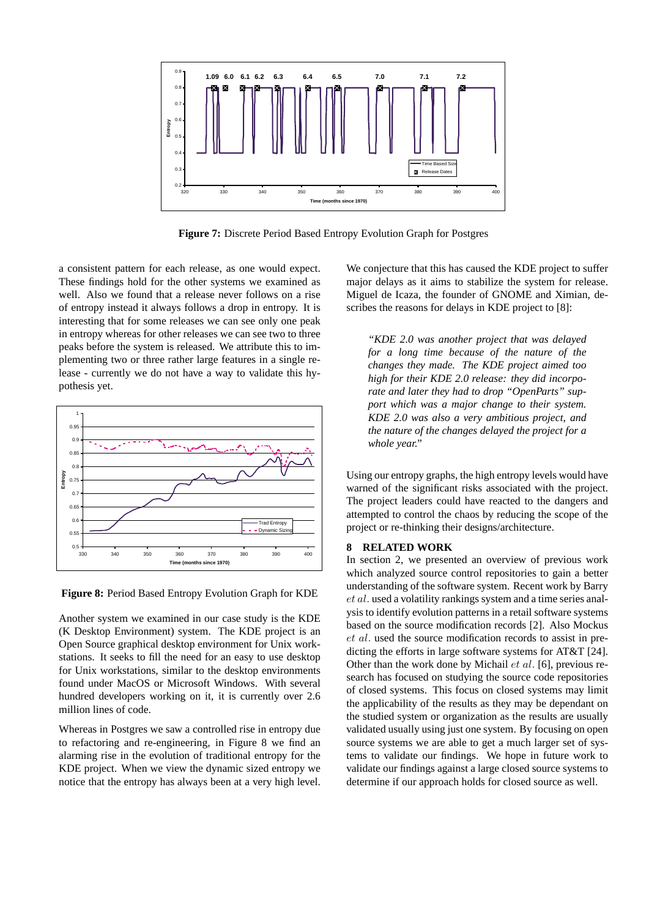

**Figure 7:** Discrete Period Based Entropy Evolution Graph for Postgres

a consistent pattern for each release, as one would expect. These findings hold for the other systems we examined as well. Also we found that a release never follows on a rise of entropy instead it always follows a drop in entropy. It is interesting that for some releases we can see only one peak in entropy whereas for other releases we can see two to three peaks before the system is released. We attribute this to implementing two or three rather large features in a single release - currently we do not have a way to validate this hypothesis yet.



**Figure 8:** Period Based Entropy Evolution Graph for KDE

Another system we examined in our case study is the KDE (K Desktop Environment) system. The KDE project is an Open Source graphical desktop environment for Unix workstations. It seeks to fill the need for an easy to use desktop for Unix workstations, similar to the desktop environments found under MacOS or Microsoft Windows. With several hundred developers working on it, it is currently over 2.6 million lines of code.

Whereas in Postgres we saw a controlled rise in entropy due to refactoring and re-engineering, in Figure 8 we find an alarming rise in the evolution of traditional entropy for the KDE project. When we view the dynamic sized entropy we notice that the entropy has always been at a very high level.

We conjecture that this has caused the KDE project to suffer major delays as it aims to stabilize the system for release. Miguel de Icaza, the founder of GNOME and Ximian, describes the reasons for delays in KDE project to [8]:

*"KDE 2.0 was another project that was delayed for a long time because of the nature of the changes they made. The KDE project aimed too high for their KDE 2.0 release: they did incorporate and later they had to drop "OpenParts" support which was a major change to their system. KDE 2.0 was also a very ambitious project, and the nature of the changes delayed the project for a whole year."*

Using our entropy graphs, the high entropy levels would have warned of the significant risks associated with the project. The project leaders could have reacted to the dangers and attempted to control the chaos by reducing the scope of the project or re-thinking their designs/architecture.

## **8 RELATED WORK**

In section 2, we presented an overview of previous work which analyzed source control repositories to gain a better understanding of the software system. Recent work by Barry et al. used a volatility rankings system and a time series analysis to identify evolution patterns in a retail software systems based on the source modification records [2]. Also Mockus et al. used the source modification records to assist in predicting the efforts in large software systems for AT&T [24]. Other than the work done by Michail et al. [6], previous research has focused on studying the source code repositories of closed systems. This focus on closed systems may limit the applicability of the results as they may be dependant on the studied system or organization as the results are usually validated usually using just one system. By focusing on open source systems we are able to get a much larger set of systems to validate our findings. We hope in future work to validate our findings against a large closed source systems to determine if our approach holds for closed source as well.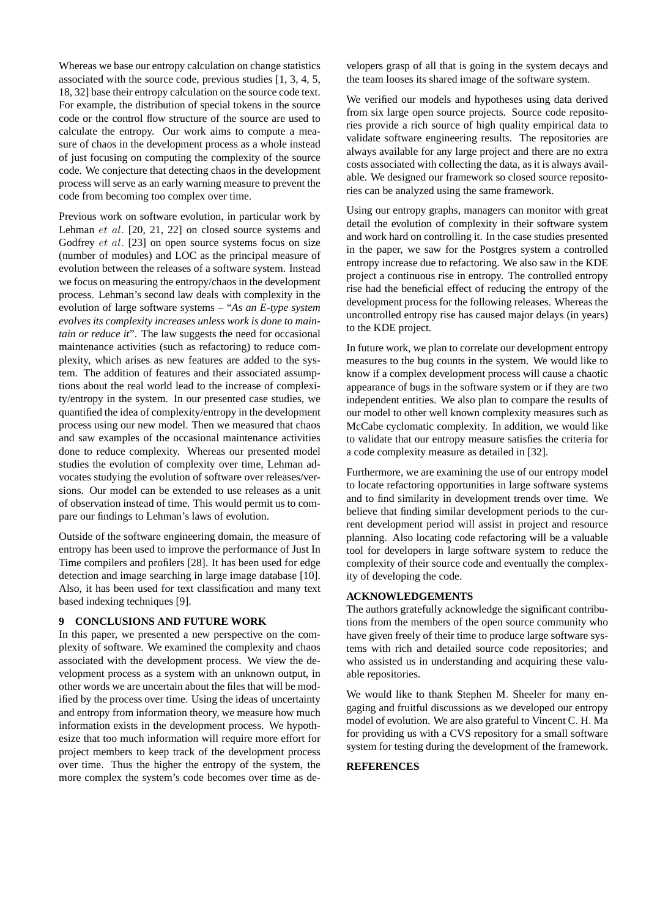Whereas we base our entropy calculation on change statistics associated with the source code, previous studies [1, 3, 4, 5, 18, 32] base their entropy calculation on the source code text. For example, the distribution of special tokens in the source code or the control flow structure of the source are used to calculate the entropy. Our work aims to compute a measure of chaos in the development process as a whole instead of just focusing on computing the complexity of the source code. We conjecture that detecting chaos in the development process will serve as an early warning measure to prevent the code from becoming too complex over time.

Previous work on software evolution, in particular work by Lehman et al. [20, 21, 22] on closed source systems and Godfrey et al. [23] on open source systems focus on size (number of modules) and LOC as the principal measure of evolution between the releases of a software system. Instead we focus on measuring the entropy/chaos in the development process. Lehman's second law deals with complexity in the evolution of large software systems – "*As an E-type system evolves its complexity increases unless work is done to maintain or reduce it*". The law suggests the need for occasional maintenance activities (such as refactoring) to reduce complexity, which arises as new features are added to the system. The addition of features and their associated assumptions about the real world lead to the increase of complexity/entropy in the system. In our presented case studies, we quantified the idea of complexity/entropy in the development process using our new model. Then we measured that chaos and saw examples of the occasional maintenance activities done to reduce complexity. Whereas our presented model studies the evolution of complexity over time, Lehman advocates studying the evolution of software over releases/versions. Our model can be extended to use releases as a unit of observation instead of time. This would permit us to compare our findings to Lehman's laws of evolution.

Outside of the software engineering domain, the measure of entropy has been used to improve the performance of Just In Time compilers and profilers [28]. It has been used for edge detection and image searching in large image database [10]. Also, it has been used for text classification and many text based indexing techniques [9].

#### **9 CONCLUSIONS AND FUTURE WORK**

In this paper, we presented a new perspective on the complexity of software. We examined the complexity and chaos associated with the development process. We view the development process as a system with an unknown output, in other words we are uncertain about the files that will be modified by the process over time. Using the ideas of uncertainty and entropy from information theory, we measure how much information exists in the development process. We hypothesize that too much information will require more effort for project members to keep track of the development process over time. Thus the higher the entropy of the system, the more complex the system's code becomes over time as developers grasp of all that is going in the system decays and the team looses its shared image of the software system.

We verified our models and hypotheses using data derived from six large open source projects. Source code repositories provide a rich source of high quality empirical data to validate software engineering results. The repositories are always available for any large project and there are no extra costs associated with collecting the data, as it is always available. We designed our framework so closed source repositories can be analyzed using the same framework.

Using our entropy graphs, managers can monitor with great detail the evolution of complexity in their software system and work hard on controlling it. In the case studies presented in the paper, we saw for the Postgres system a controlled entropy increase due to refactoring. We also saw in the KDE project a continuous rise in entropy. The controlled entropy rise had the beneficial effect of reducing the entropy of the development process for the following releases. Whereas the uncontrolled entropy rise has caused major delays (in years) to the KDE project.

In future work, we plan to correlate our development entropy measures to the bug counts in the system. We would like to know if a complex development process will cause a chaotic appearance of bugs in the software system or if they are two independent entities. We also plan to compare the results of our model to other well known complexity measures such as McCabe cyclomatic complexity. In addition, we would like to validate that our entropy measure satisfies the criteria for a code complexity measure as detailed in [32].

Furthermore, we are examining the use of our entropy model to locate refactoring opportunities in large software systems and to find similarity in development trends over time. We believe that finding similar development periods to the current development period will assist in project and resource planning. Also locating code refactoring will be a valuable tool for developers in large software system to reduce the complexity of their source code and eventually the complexity of developing the code.

#### **ACKNOWLEDGEMENTS**

The authors gratefully acknowledge the significant contributions from the members of the open source community who have given freely of their time to produce large software systems with rich and detailed source code repositories; and who assisted us in understanding and acquiring these valuable repositories.

We would like to thank Stephen M. Sheeler for many engaging and fruitful discussions as we developed our entropy model of evolution. We are also grateful to Vincent C. H. Ma for providing us with a CVS repository for a small software system for testing during the development of the framework.

#### **REFERENCES**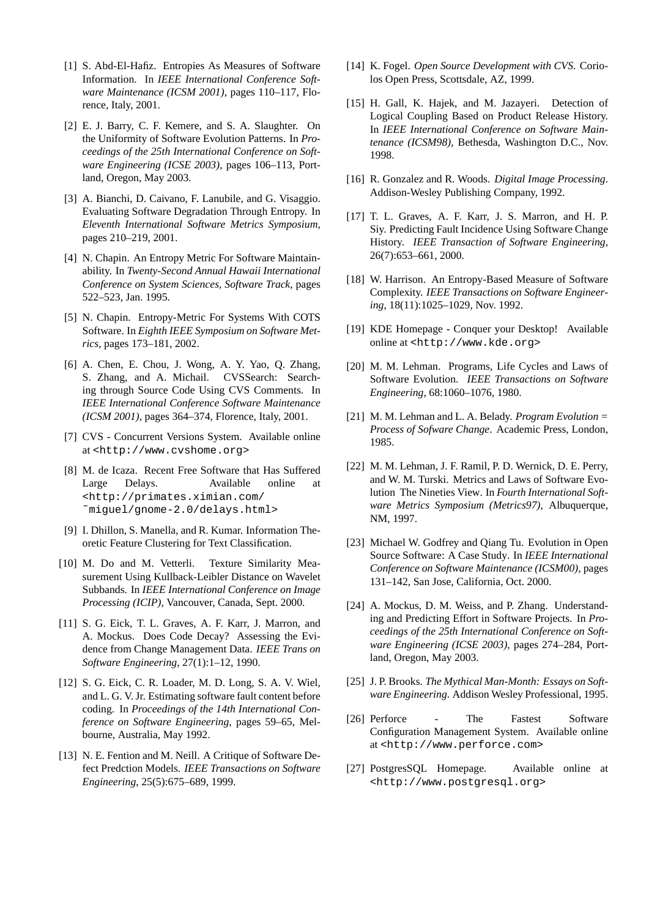- [1] S. Abd-El-Hafiz. Entropies As Measures of Software Information. In *IEEE International Conference Software Maintenance (ICSM 2001)*, pages 110–117, Florence, Italy, 2001.
- [2] E. J. Barry, C. F. Kemere, and S. A. Slaughter. On the Uniformity of Software Evolution Patterns. In *Proceedings of the 25th International Conference on Software Engineering (ICSE 2003)*, pages 106–113, Portland, Oregon, May 2003.
- [3] A. Bianchi, D. Caivano, F. Lanubile, and G. Visaggio. Evaluating Software Degradation Through Entropy. In *Eleventh International Software Metrics Symposium*, pages 210–219, 2001.
- [4] N. Chapin. An Entropy Metric For Software Maintainability. In *Twenty-Second Annual Hawaii International Conference on System Sciences, Software Track*, pages 522–523, Jan. 1995.
- [5] N. Chapin. Entropy-Metric For Systems With COTS Software. In *Eighth IEEE Symposium on Software Metrics*, pages 173–181, 2002.
- [6] A. Chen, E. Chou, J. Wong, A. Y. Yao, Q. Zhang, S. Zhang, and A. Michail. CVSSearch: Searching through Source Code Using CVS Comments. In *IEEE International Conference Software Maintenance (ICSM 2001)*, pages 364–374, Florence, Italy, 2001.
- [7] CVS Concurrent Versions System. Available online at <http://www.cvshome.org>
- [8] M. de Icaza. Recent Free Software that Has Suffered Large Delays. Available online at <http://primates.ximian.com/ ˜miguel/gnome-2.0/delays.html>
- [9] I. Dhillon, S. Manella, and R. Kumar. Information Theoretic Feature Clustering for Text Classification.
- [10] M. Do and M. Vetterli. Texture Similarity Measurement Using Kullback-Leibler Distance on Wavelet Subbands. In *IEEE International Conference on Image Processing (ICIP)*, Vancouver, Canada, Sept. 2000.
- [11] S. G. Eick, T. L. Graves, A. F. Karr, J. Marron, and A. Mockus. Does Code Decay? Assessing the Evidence from Change Management Data. *IEEE Trans on Software Engineering*, 27(1):1–12, 1990.
- [12] S. G. Eick, C. R. Loader, M. D. Long, S. A. V. Wiel, and L. G. V. Jr. Estimating software fault content before coding. In *Proceedings of the 14th International Conference on Software Engineering*, pages 59–65, Melbourne, Australia, May 1992.
- [13] N. E. Fention and M. Neill. A Critique of Software Defect Predction Models. *IEEE Transactions on Software Engineering*, 25(5):675–689, 1999.
- [14] K. Fogel. *Open Source Development with CVS*. Coriolos Open Press, Scottsdale, AZ, 1999.
- [15] H. Gall, K. Hajek, and M. Jazayeri. Detection of Logical Coupling Based on Product Release History. In *IEEE International Conference on Software Maintenance (ICSM98)*, Bethesda, Washington D.C., Nov. 1998.
- [16] R. Gonzalez and R. Woods. *Digital Image Processing*. Addison-Wesley Publishing Company, 1992.
- [17] T. L. Graves, A. F. Karr, J. S. Marron, and H. P. Siy. Predicting Fault Incidence Using Software Change History. *IEEE Transaction of Software Engineering*, 26(7):653–661, 2000.
- [18] W. Harrison. An Entropy-Based Measure of Software Complexity. *IEEE Transactions on Software Engineering*, 18(11):1025–1029, Nov. 1992.
- [19] KDE Homepage Conquer your Desktop! Available online at <http://www.kde.org>
- [20] M. M. Lehman. Programs, Life Cycles and Laws of Software Evolution. *IEEE Transactions on Software Engineering*, 68:1060–1076, 1980.
- [21] M. M. Lehman and L. A. Belady. *Program Evolution = Process of Sofware Change*. Academic Press, London, 1985.
- [22] M. M. Lehman, J. F. Ramil, P. D. Wernick, D. E. Perry, and W. M. Turski. Metrics and Laws of Software Evolution The Nineties View. In *Fourth International Software Metrics Symposium (Metrics97)*, Albuquerque, NM, 1997.
- [23] Michael W. Godfrey and Qiang Tu. Evolution in Open Source Software: A Case Study. In *IEEE International Conference on Software Maintenance (ICSM00)*, pages 131–142, San Jose, California, Oct. 2000.
- [24] A. Mockus, D. M. Weiss, and P. Zhang. Understanding and Predicting Effort in Software Projects. In *Proceedings of the 25th International Conference on Software Engineering (ICSE 2003)*, pages 274–284, Portland, Oregon, May 2003.
- [25] J. P. Brooks. *The Mythical Man-Month: Essays on Software Engineering*. Addison Wesley Professional, 1995.
- [26] Perforce The Fastest Software Configuration Management System. Available online at <http://www.perforce.com>
- [27] PostgresSQL Homepage. Available online at <http://www.postgresql.org>